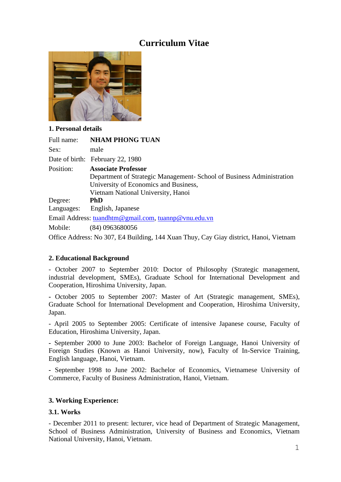# **Curriculum Vitae**



# **1. Personal details**

| Full name: | <b>NHAM PHONG TUAN</b>                                                |
|------------|-----------------------------------------------------------------------|
| Sex:       | male                                                                  |
|            | Date of birth: February 22, 1980                                      |
| Position:  | <b>Associate Professor</b>                                            |
|            | Department of Strategic Management- School of Business Administration |
|            | University of Economics and Business,                                 |
|            | Vietnam National University, Hanoi                                    |
| Degree:    | <b>PhD</b>                                                            |
|            | Languages: English, Japanese                                          |
|            | Email Address: tuandhtm@gmail.com, tuannp@vnu.edu.vn                  |
| Mobile:    | $(84)$ 0963680056                                                     |

Office Address: No 307, E4 Building, 144 Xuan Thuy, Cay Giay district, Hanoi, Vietnam

# **2. Educational Background**

- October 2007 to September 2010: Doctor of Philosophy (Strategic management, industrial development, SMEs), Graduate School for International Development and Cooperation, Hiroshima University, Japan.

**-** October 2005 to September 2007: Master of Art (Strategic management, SMEs), Graduate School for International Development and Cooperation, Hiroshima University, Japan.

- April 2005 to September 2005: Certificate of intensive Japanese course, Faculty of Education, Hiroshima University, Japan.

**-** September 2000 to June 2003: Bachelor of Foreign Language, Hanoi University of Foreign Studies (Known as Hanoi University, now), Faculty of In-Service Training, English language, Hanoi, Vietnam.

**-** September 1998 to June 2002: Bachelor of Economics, Vietnamese University of Commerce, Faculty of Business Administration, Hanoi, Vietnam.

# **3. Working Experience:**

## **3.1. Works**

- December 2011 to present: lecturer, vice head of Department of Strategic Management, School of Business Administration, University of Business and Economics, Vietnam National University, Hanoi, Vietnam.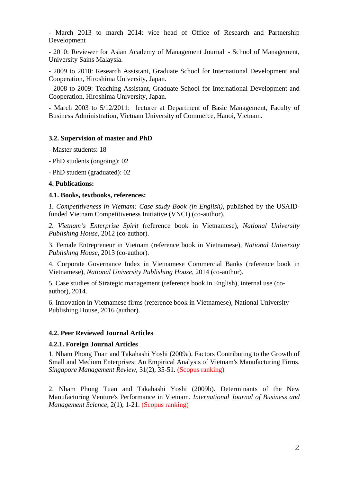- March 2013 to march 2014: vice head of Office of Research and Partnership Development

- 2010: Reviewer for Asian Academy of Management Journal - School of Management, University Sains Malaysia.

- 2009 to 2010: Research Assistant, Graduate School for International Development and Cooperation, Hiroshima University, Japan.

- 2008 to 2009: Teaching Assistant, Graduate School for International Development and Cooperation, Hiroshima University, Japan.

**-** March 2003 to 5/12/2011: lecturer at Department of Basic Management, Faculty of Business Administration, Vietnam University of Commerce, Hanoi, Vietnam.

## **3.2. Supervision of master and PhD**

- Master students: 18
- PhD students (ongoing): 02

- PhD student (graduated): 02

#### **4. Publications:**

## **4.1. Books, textbooks, references:**

*1. Competitiveness in Vietnam: Case study Book (in English)*, published by the USAIDfunded Vietnam Competitiveness Initiative (VNCI) (co-author).

*2. Vietnam's Enterprise Spirit* (reference book in Vietnamese)*, National University Publishing House*, 2012 (co-author).

3. Female Entrepreneur in Vietnam (reference book in Vietnamese), *National University Publishing House*, 2013 (co-author).

4. Corporate Governance Index in Vietnamese Commercial Banks (reference book in Vietnamese), *National University Publishing House*, 2014 (co-author).

5. Case studies of Strategic management (reference book in English), internal use (coauthor), 2014.

6. Innovation in Vietnamese firms (reference book in Vietnamese), National University Publishing House, 2016 (author).

# **4.2. Peer Reviewed Journal Articles**

# **4.2.1. Foreign Journal Articles**

1. Nham Phong Tuan and Takahashi Yoshi (2009a). Factors Contributing to the Growth of Small and Medium Enterprises: An Empirical Analysis of Vietnam's Manufacturing Firms. *Singapore Management Review*, 31(2), 35-51. (Scopus ranking)

2. Nham Phong Tuan and Takahashi Yoshi (2009b). Determinants of the New Manufacturing Venture's Performance in Vietnam. *International Journal of Business and Management Science*, 2(1), 1-21. (Scopus ranking)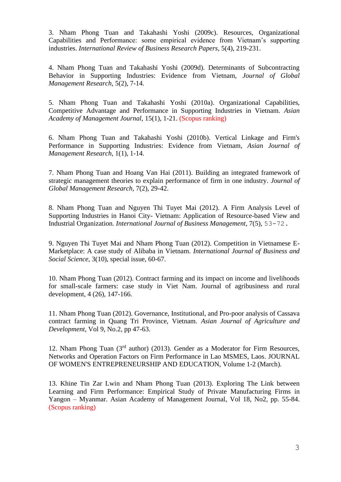3. Nham Phong Tuan and Takahashi Yoshi (2009c). Resources, Organizational Capabilities and Performance: some empirical evidence from Vietnam's supporting industries. *International Review of Business Research Papers*, 5(4), 219-231.

4. Nham Phong Tuan and Takahashi Yoshi (2009d). Determinants of Subcontracting Behavior in Supporting Industries: Evidence from Vietnam, *Journal of Global Management Research,* 5(2), 7-14.

5. Nham Phong Tuan and Takahashi Yoshi (2010a). Organizational Capabilities, Competitive Advantage and Performance in Supporting Industries in Vietnam. *Asian Academy of Management Journal*, 15(1), 1-21. (Scopus ranking)

6. Nham Phong Tuan and Takahashi Yoshi (2010b). Vertical Linkage and Firm's Performance in Supporting Industries: Evidence from Vietnam, *Asian Journal of Management Research*, 1(1), 1-14.

7. Nham Phong Tuan and Hoang Van Hai (2011). Building an integrated framework of strategic management theories to explain performance of firm in one industry. *Journal of Global Management Research,* 7(2), 29-42.

8. Nham Phong Tuan and Nguyen Thi Tuyet Mai (2012). A Firm Analysis Level of Supporting Industries in Hanoi City- Vietnam: Application of Resource-based View and Industrial Organization*. International Journal of Business Management*, 7(5), 53-72.

9. Nguyen Thi Tuyet Mai and Nham Phong Tuan (2012). Competition in Vietnamese E-Marketplace: A case study of Alibaba in Vietnam. *International Journal of Business and Social Science*, 3(10), special issue, 60-67.

10. Nham Phong Tuan (2012). Contract farming and its impact on income and livelihoods for small-scale farmers: case study in Viet Nam. Journal of agribusiness and rural development, 4 (26), 147-166.

11. Nham Phong Tuan (2012). Governance, Institutional, and Pro-poor analysis of Cassava contract farming in Quang Tri Province, Vietnam. *Asian Journal of Agriculture and Development*, Vol 9, No.2, pp 47-63.

12. Nham Phong Tuan  $(3<sup>rd</sup>$  author) (2013). Gender as a Moderator for Firm Resources, Networks and Operation Factors on Firm Performance in Lao MSMES, Laos. JOURNAL OF WOMEN'S ENTREPRENEURSHIP AND EDUCATION, Volume 1-2 (March).

13. Khine Tin Zar Lwin and Nham Phong Tuan (2013). Exploring The Link between Learning and Firm Performance: Empirical Study of Private Manufacturing Firms in Yangon – Myanmar. Asian Academy of Management Journal, Vol 18, No2, pp. 55-84. (Scopus ranking)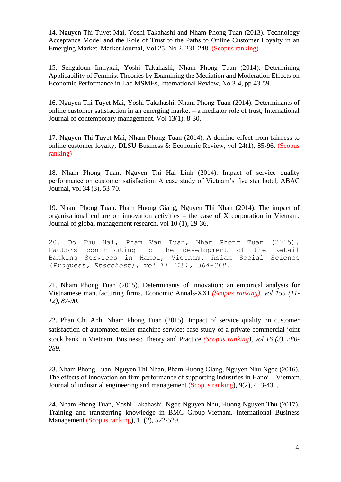14. Nguyen Thi Tuyet Mai, Yoshi Takahashi and Nham Phong Tuan (2013). Technology Acceptance Model and the Role of Trust to the Paths to Online Customer Loyalty in an Emerging Market. Market Journal, Vol 25, No 2, 231-248. (Scopus ranking)

15. Sengaloun Inmyxai, Yoshi Takahashi, Nham Phong Tuan (2014). Determining Applicability of Feminist Theories by Examining the Mediation and Moderation Effects on Economic Performance in Lao MSMEs, International Review, No 3-4, pp 43-59.

16. Nguyen Thi Tuyet Mai, Yoshi Takahashi, Nham Phong Tuan (2014). Determinants of online customer satisfaction in an emerging market – a mediator role of trust, International Journal of contemporary management, Vol 13(1), 8-30.

17. Nguyen Thi Tuyet Mai, Nham Phong Tuan (2014). A domino effect from fairness to online customer loyalty, DLSU Business & Economic Review, vol 24(1), 85-96. (Scopus ranking)

18. Nham Phong Tuan, Nguyen Thi Hai Linh (2014). Impact of service quality performance on customer satisfaction: A case study of Vietnam's five star hotel, ABAC Journal, vol 34 (3), 53-70.

19. Nham Phong Tuan, Pham Huong Giang, Nguyen Thi Nhan (2014). The impact of organizational culture on innovation activities – the case of X corporation in Vietnam, Journal of global management research, vol 10 (1), 29-36.

20. Do Huu Hai, Pham Van Tuan, Nham Phong Tuan (2015). Factors contributing to the development of the Retail Banking Services in Hanoi, Vietnam. Asian Social Science (*Proquest, Ebscohost), vol 11 (18), 364-368.*

21. Nham Phong Tuan (2015). Determinants of innovation: an empirical analysis for Vietnamese manufacturing firms. Economic Annals-XXI *(Scopus ranking), vol 155 (11- 12), 87-90.*

22. Phan Chi Anh, Nham Phong Tuan (2015). Impact of service quality on customer satisfaction of automated teller machine service: case study of a private commercial joint stock bank in Vietnam. Business: Theory and Practice *(Scopus ranking), vol 16 (3), 280- 289.*

23. Nham Phong Tuan, Nguyen Thi Nhan, Pham Huong Giang, Nguyen Nhu Ngoc (2016). The effects of innovation on firm performance of supporting industries in Hanoi – Vietnam. Journal of industrial engineering and management (Scopus ranking), 9(2), 413-431.

24. Nham Phong Tuan, Yoshi Takahashi, Ngoc Nguyen Nhu, Huong Nguyen Thu (2017). Training and transferring knowledge in BMC Group-Vietnam. International Business Management (Scopus ranking), 11(2), 522-529.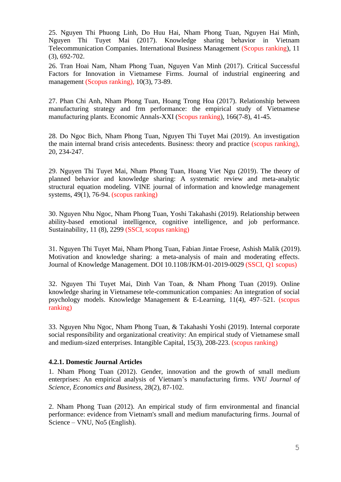25. Nguyen Thi Phuong Linh, Do Huu Hai, Nham Phong Tuan, Nguyen Hai Minh, Nguyen Thi Tuyet Mai (2017). Knowledge sharing behavior in Vietnam Telecommunication Companies. International Business Management (Scopus ranking), 11 (3), 692-702.

26. Tran Hoai Nam, Nham Phong Tuan, Nguyen Van Minh (2017). Critical Successful Factors for Innovation in Vietnamese Firms. Journal of industrial engineering and management (Scopus ranking), 10(3), 73-89.

27. Phan Chi Anh, Nham Phong Tuan, Hoang Trong Hoa (2017). Relationship between manufacturing strategy and frm performance: the empirical study of Vietnamese manufacturing plants. Economic Annals-XXI (Scopus ranking), 166(7-8), 41-45.

28. Do Ngoc Bich, Nham Phong Tuan, Nguyen Thi Tuyet Mai (2019). An investigation the main internal brand crisis antecedents. Business: theory and practice (scopus ranking), 20, 234-247.

29. Nguyen Thi Tuyet Mai, Nham Phong Tuan, Hoang Viet Ngu (2019). The theory of planned behavior and knowledge sharing: A systematic review and meta-analytic structural equation modeling. VINE journal of information and knowledge management systems, 49(1), 76-94. (scopus ranking)

30. Nguyen Nhu Ngoc, Nham Phong Tuan, Yoshi Takahashi (2019). Relationship between ability-based emotional intelligence, cognitive intelligence, and job performance. Sustainability, 11 (8), 2299 (SSCI, scopus ranking)

31. Nguyen Thi Tuyet Mai, Nham Phong Tuan, Fabian Jintae Froese, Ashish Malik (2019). Motivation and knowledge sharing: a meta-analysis of main and moderating effects. Journal of Knowledge Management. DOI 10.1108/JKM-01-2019-0029 (SSCI, Q1 scopus)

32. Nguyen Thi Tuyet Mai, Dinh Van Toan, & Nham Phong Tuan (2019). Online knowledge sharing in Vietnamese tele-communication companies: An integration of social psychology models. Knowledge Management & E-Learning, 11(4), 497–521. (scopus ranking)

33. Nguyen Nhu Ngoc, Nham Phong Tuan, & Takahashi Yoshi (2019). Internal corporate social responsibility and organizational creativity: An empirical study of Vietnamese small and medium-sized enterprises. Intangible Capital, 15(3), 208-223. (scopus ranking)

#### **4.2.1. Domestic Journal Articles**

1. Nham Phong Tuan (2012). Gender, innovation and the growth of small medium enterprises: An empirical analysis of Vietnam's manufacturing firms. *VNU Journal of Science, Economics and Business*, 28(2), 87-102.

2. Nham Phong Tuan (2012). An empirical study of firm environmental and financial performance: evidence from Vietnam's small and medium manufacturing firms. Journal of Science – VNU, No5 (English).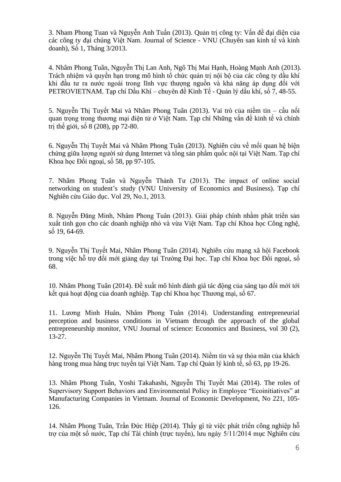3. Nham Phong Tuan và Nguyễn Anh Tuấn (2013). Quản trị công ty: Vấn đề đại diện của các công ty đại chúng Việt Nam. Journal of Science - VNU (Chuyên san kinh tế và kinh doanh), Số 1, Tháng 3/2013.

4. Nhâm Phong Tuân, Nguyễn Thị Lan Anh, Ngô Thị Mai Hạnh, Hoàng Mạnh Anh (2013). Trách nhiệm và quyền hạn trong mô hình tổ chức quản trị nội bộ của các công ty dầu khí khi đầu tư ra nước ngoài trong lĩnh vực thượng nguồn và khả năng áp dụng đối với PETROVIETNAM. Tạp chí Dầu Khí – chuyên đề Kinh Tế - Quản lý dầu khí, số 7, 48-55.

5. Nguyễn Thị Tuyết Mai và Nhâm Phong Tuân (2013). Vai trò của niềm tin – cầu nối quan trong trong thương mại điện tử ở Việt Nam. Tạp chí Những vấn đề kinh tế và chính trị thế giới, số 8 (208), pp 72-80.

6. Nguyễn Thị Tuyết Mai và Nhâm Phong Tuân (2013). Nghiên cứu về mối quan hệ biện chứng giữa lượng người sử dụng Internet và tổng sản phẩm quốc nội tại Việt Nam. Tạp chí Khoa học Đối ngoại, số 58, pp 97-105.

7. Nhâm Phong Tuân và Nguyễn Thành Tư (2013). The impact of online social networking on student's study (VNU University of Economics and Business). Tạp chí Nghiên cứu Giáo dục. Vol 29, No.1, 2013.

8. Nguyễn Đăng Minh, Nhâm Phong Tuân (2013). Giải pháp chính nhằm phát triển sản xuất tinh gọn cho các doanh nghiệp nhỏ và vừa Việt Nam. Tạp chí Khoa học Công nghệ, số 19, 64-69.

9. Nguyễn Thị Tuyết Mai, Nhâm Phong Tuân (2014). Nghiên cứu mạng xã hội Facebook trong việc hỗ trợ đổi mới giảng dạy tại Trường Đại học. Tạp chí Khoa học Đối ngoại, số 68.

10. Nhâm Phong Tuân (2014). Đề xuất mô hình đánh giá tác động của sáng tạo đổi mới tới kết quả hoạt đông của doanh nghiệp. Tạp chí Khoa học Thương mại, số 67.

11. Lương Minh Huân, Nhâm Phong Tuân (2014). Understanding entrepreneurial perception and business conditions in Vietnam through the approach of the global entrepreneurship monitor, VNU Journal of science: Economics and Business, vol 30 (2), 13-27.

12. Nguyễn Thị Tuyết Mai, Nhâm Phong Tuân (2014). Niềm tin và sự thỏa mãn của khách hàng trong mua hàng trực tuyến tại Việt Nam. Tạp chí Quản lý kinh tế, số 63, pp 19-26.

13. Nhâm Phong Tuân, Yoshi Takahashi, Nguyễn Thị Tuyết Mai (2014). The roles of Supervisory Support Behaviors and Environmental Policy in Employee "Ecoinitiatives" at Manufacturing Companies in Vietnam. Journal of Economic Development, No 221, 105- 126.

14. Nhâm Phong Tuân, Trần Đức Hiệp (2014). Thấy gì từ việc phát triển công nghiệp hỗ trợ của một số nước, Tạp chí Tài chính (trực tuyến), lưu ngày 5/11/2014 mục Nghiên cứu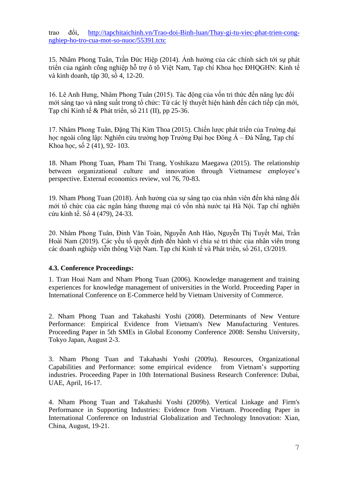trao đổi, [http://tapchitaichinh.vn/Trao-doi-Binh-luan/Thay-gi-tu-viec-phat-trien-cong](http://tapchitaichinh.vn/Trao-doi-Binh-luan/Thay-gi-tu-viec-phat-trien-cong-nghiep-ho-tro-cua-mot-so-nuoc/55391.tctc)[nghiep-ho-tro-cua-mot-so-nuoc/55391.tctc](http://tapchitaichinh.vn/Trao-doi-Binh-luan/Thay-gi-tu-viec-phat-trien-cong-nghiep-ho-tro-cua-mot-so-nuoc/55391.tctc)

15. Nhâm Phong Tuân, Trần Đức Hiệp (2014). Ảnh hưởng của các chính sách tới sự phát triển của ngành công nghiệp hỗ trợ ô tô Việt Nam, Tạp chí Khoa học ĐHQGHN: Kinh tế và kinh doanh, tập 30, số 4, 12-20.

16. Lê Anh Hưng, Nhâm Phong Tuân (2015). Tác động của vốn tri thức đến năng lực đổi mới sáng tạo và năng suất trong tổ chức: Từ các lý thuyết hiện hành đến cách tiếp cận mới, Tạp chí Kinh tế & Phát triển, số 211 (II), pp 25-36.

17. Nhâm Phong Tuân, Đặng Thị Kim Thoa (2015). Chiến lược phát triển của Trường đại học ngoài công lập: Nghiên cứu trường hợp Trường Đại học Đông Á – Đà Nẵng, Tạp chí Khoa học, số 2 (41), 92- 103.

18. Nham Phong Tuan, Pham Thi Trang, Yoshikazu Maegawa (2015). The relationship between organizational culture and innovation through Vietnamese employee's perspective. External economics review, vol 76, 70-83.

19. Nham Phong Tuan (2018). Ảnh hưởng của sự sáng tạo của nhân viên đến khả năng đổi mới tổ chức của các ngân hàng thương mại có vốn nhà nước tại Hà Nội. Tạp chí nghiên cứu kinh tế. Số 4 (479), 24-33.

20. Nhâm Phong Tuân, Đinh Văn Toàn, Nguyễn Anh Hào, Nguyễn Thị Tuyết Mai, Trần Hoài Nam (2019). Các yếu tố quyết định đến hành vi chia sẻ tri thức của nhân viên trong các doanh nghiệp viễn thông Việt Nam. Tạp chí Kinh tế và Phát triển, số 261, t3/2019.

#### **4.3. Conference Proceedings:**

1. Tran Hoai Nam and Nham Phong Tuan (2006). Knowledge management and training experiences for knowledge management of universities in the World. Proceeding Paper in International Conference on E-Commerce held by Vietnam University of Commerce.

2. Nham Phong Tuan and Takahashi Yoshi (2008). Determinants of New Venture Performance: Empirical Evidence from Vietnam's New Manufacturing Ventures. Proceeding Paper in 5th SMEs in Global Economy Conference 2008: Senshu University, Tokyo Japan, August 2-3.

3. Nham Phong Tuan and Takahashi Yoshi (2009a). Resources, Organizational Capabilities and Performance: some empirical evidence from Vietnam's supporting industries. Proceeding Paper in 10th International Business Research Conference: Dubai, UAE, April, 16-17.

4. Nham Phong Tuan and Takahashi Yoshi (2009b). Vertical Linkage and Firm's Performance in Supporting Industries: Evidence from Vietnam. Proceeding Paper in International Conference on Industrial Globalization and Technology Innovation: Xian, China, August, 19-21.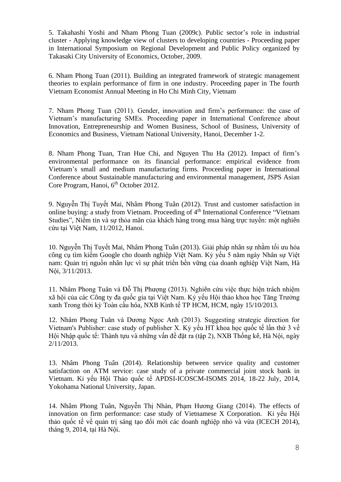5. Takahashi Yoshi and Nham Phong Tuan (2009c). Public sector's role in industrial cluster - Applying knowledge view of clusters to developing countries - Proceeding paper in International Symposium on Regional Development and Public Policy organized by Takasaki City University of Economics, October, 2009.

6. Nham Phong Tuan (2011). Building an integrated framework of strategic management theories to explain performance of firm in one industry. Proceeding paper in The fourth Vietnam Economist Annual Meeting in Ho Chi Minh City, Vietnam

7. Nham Phong Tuan (2011). Gender, innovation and firm's performance: the case of Vietnam's manufacturing SMEs. Proceeding paper in International Conference about Innovation, Entrepreneurship and Women Business, School of Business, University of Economics and Business, Vietnam National University, Hanoi, December 1-2.

8. Nham Phong Tuan, Tran Hue Chi, and Nguyen Thu Ha (2012). Impact of firm's environmental performance on its financial performance: empirical evidence from Vietnam's small and medium manufacturing firms. Proceeding paper in International Conference about Sustainable manufacturing and environmental management, JSPS Asian Core Program, Hanoi, 6<sup>th</sup> October 2012.

9. Nguyễn Thị Tuyết Mai, Nhâm Phong Tuân (2012). Trust and customer satisfaction in online buying: a study from Vietnam. Proceeding of 4<sup>th</sup> International Conference "Vietnam Studies", Niềm tin và sự thỏa mãn của khách hàng trong mua hàng trực tuyến: một nghiên cứu tại Việt Nam, 11/2012, Hanoi.

10. Nguyễn Thị Tuyết Mai, Nhâm Phong Tuân (2013). Giải pháp nhân sự nhằm tối ưu hóa công cụ tìm kiếm Google cho doanh nghiệp Việt Nam. Kỷ yếu 5 năm ngày Nhân sự Việt nam: Quản trị nguồn nhân lực vì sự phát triển bền vững của doanh nghiệp Việt Nam, Hà Nội, 3/11/2013.

11. Nhâm Phong Tuân và Đỗ Thị Phượng (2013). Nghiên cứu việc thực hiện trách nhiệm xã hội của các Công ty đa quốc gia tại Việt Nam. Kỷ yếu Hội thảo khoa học Tăng Trưởng xanh Trong thời kỳ Toàn cầu hóa, NXB Kinh tế TP HCM, HCM, ngày 15/10/2013.

12. Nhâm Phong Tuân và Dương Ngọc Anh (2013). Suggesting strategic direction for Vietnam's Publisher: case study of publisher X. Kỷ yếu HT khoa học quốc tế lần thứ 3 về Hội Nhập quốc tế: Thành tựu và những vấn đề đặt ra (tập 2), NXB Thống kê, Hà Nội, ngày 2/11/2013.

13. Nhâm Phong Tuân (2014). Relationship between service quality and customer satisfaction on ATM service: case study of a private commercial joint stock bank in Vietnam. Kỉ yếu Hội Thảo quốc tế APDSI-ICOSCM-ISOMS 2014, 18-22 July, 2014, Yokohama National University, Japan.

14. Nhâm Phong Tuân, Nguyễn Thị Nhàn, Phạm Hương Giang (2014). The effects of innovation on firm performance: case study of Vietnamese X Corporation. Kỉ yếu Hội thảo quốc tế về quản trị sáng tạo đổi mới các doanh nghiệp nhỏ và vừa (ICECH 2014), tháng 9, 2014, tại Hà Nội.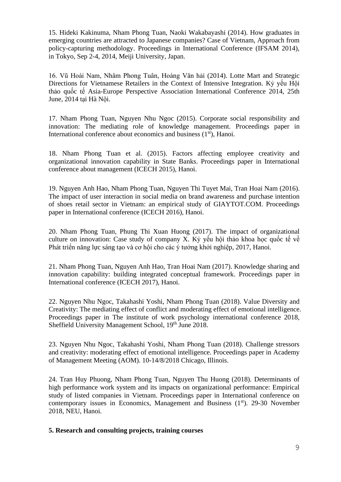15. Hideki Kakinuma, Nham Phong Tuan, Naoki Wakabayashi (2014). How graduates in emerging countries are attracted to Japanese companies? Case of Vietnam, Approach from policy-capturing methodology. Proceedings in International Conference (IFSAM 2014), in Tokyo, Sep 2-4, 2014, Meiji University, Japan.

16. Vũ Hoài Nam, Nhâm Phong Tuân, Hoàng Văn hải (2014). Lotte Mart and Strategic Directions for Vietnamese Retailers in the Context of Intensive Integration. Kỷ yếu Hội thảo quốc tế Asia-Europe Perspective Association International Conference 2014, 25th June, 2014 tại Hà Nội.

17. Nham Phong Tuan, Nguyen Nhu Ngoc (2015). Corporate social responsibility and innovation: The mediating role of knowledge management. Proceedings paper in International conference about economics and business  $(1<sup>st</sup>)$ , Hanoi.

18. Nham Phong Tuan et al. (2015). Factors affecting employee creativity and organizational innovation capability in State Banks. Proceedings paper in International conference about management (ICECH 2015), Hanoi.

19. Nguyen Anh Hao, Nham Phong Tuan, Nguyen Thi Tuyet Mai, Tran Hoai Nam (2016). The impact of user interaction in social media on brand awareness and purchase intention of shoes retail sector in Vietnam: an empirical study of GIAYTOT.COM. Proceedings paper in International conference (ICECH 2016), Hanoi.

20. Nham Phong Tuan, Phung Thi Xuan Huong (2017). The impact of organizational culture on innovation: Case study of company X. Kỷ yếu hội thảo khoa học quốc tế về Phát triển năng lực sáng tạo và cơ hội cho các ý tưởng khởi nghiệp, 2017, Hanoi.

21. Nham Phong Tuan, Nguyen Anh Hao, Tran Hoai Nam (2017). Knowledge sharing and innovation capability: building integrated conceptual framework. Proceedings paper in International conference (ICECH 2017), Hanoi.

22. Nguyen Nhu Ngoc, Takahashi Yoshi, Nham Phong Tuan (2018). Value Diversity and Creativity: The mediating effect of conflict and moderating effect of emotional intelligence. Proceedings paper in The institute of work psychology international conference 2018, Sheffield University Management School, 19th June 2018.

23. Nguyen Nhu Ngoc, Takahashi Yoshi, Nham Phong Tuan (2018). Challenge stressors and creativity: moderating effect of emotional intelligence. Proceedings paper in Academy of Management Meeting (AOM). 10-14/8/2018 Chicago, Illinois.

24. Tran Huy Phuong, Nham Phong Tuan, Nguyen Thu Huong (2018). Determinants of high performance work system and its impacts on organizational performance: Empirical study of listed companies in Vietnam. Proceedings paper in International conference on contemporary issues in Economics, Management and Business  $(1<sup>st</sup>)$ . 29-30 November 2018, NEU, Hanoi.

**5. Research and consulting projects, training courses**